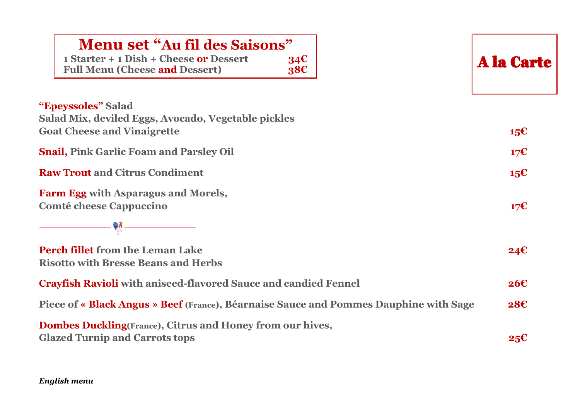## **Menu set "Au fil des Saisons"**

| 1 Starter + 1 Dish + Cheese or Dessert | 34E |
|----------------------------------------|-----|
| <b>Full Menu (Cheese and Dessert)</b>  | 38C |

A la Carte

| <b>"Epeyssoles" Salad</b>                           |     |
|-----------------------------------------------------|-----|
| Salad Mix, deviled Eggs, Avocado, Vegetable pickles |     |
| <b>Goat Cheese and Vinaigrette</b>                  | 15€ |

**Snail, Pink Garlic Foam and Parsley Oil 17€**

**Raw Trout and Citrus Condiment 15€**

**Farm Egg with Asparagus and Morels, Comté cheese Cappuccino 17€**

**Perch fillet from the Leman Lake 24€ Risotto with Bresse Beans and Herbs**

| <b>Crayfish Ravioli</b> with aniseed-flavored Sauce and candied Fennel                       | 26E |
|----------------------------------------------------------------------------------------------|-----|
| Piece of « <b>Black Angus » Beef</b> (France), Béarnaise Sauce and Pommes Dauphine with Sage | 28E |

**Dombes Duckling(France), Citrus and Honey from our hives, Glazed Turnip and Carrots tops 25€**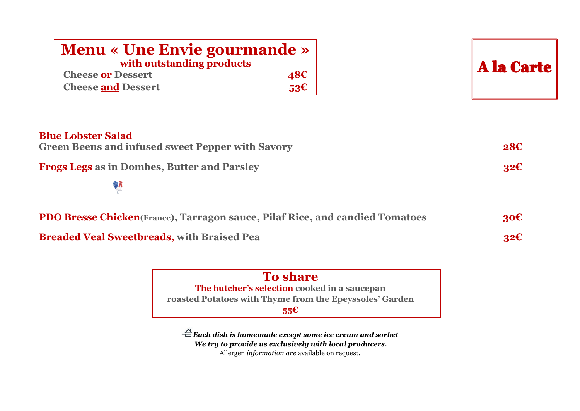| <b>Menu « Une Envie gourmande »</b><br>with outstanding products                                                                           |                 | <b>A la Carte</b> |
|--------------------------------------------------------------------------------------------------------------------------------------------|-----------------|-------------------|
| <b>Cheese or Dessert</b>                                                                                                                   | 48 <sup>ε</sup> |                   |
| <b>Cheese and Dessert</b>                                                                                                                  | 53 <sup>2</sup> |                   |
| <b>Blue Lobster Salad</b><br><b>Green Beens and infused sweet Pepper with Savory</b><br><b>Frogs Legs as in Dombes, Butter and Parsley</b> |                 | 28C<br>32E        |
| <b>PDO Bresse Chicken</b> (France), Tarragon sauce, Pilaf Rice, and candied Tomatoes                                                       |                 | 30 <sup>ε</sup>   |
| <b>Breaded Veal Sweetbreads, with Braised Pea</b>                                                                                          |                 | 32E               |



*Each dish is homemade except some ice cream and sorbet We try to provide us exclusively with local producers.* Allergen *information are* available on request.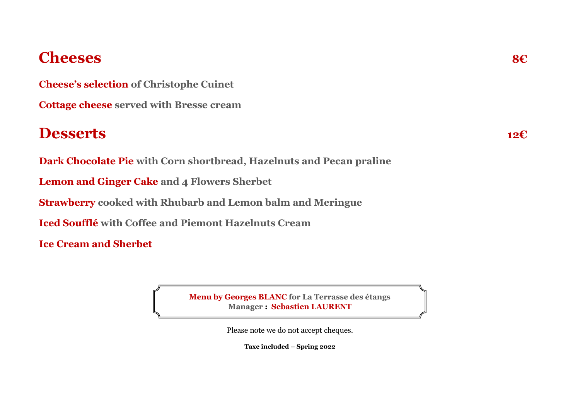# **Cheeses 8€**

**Cheese's selection of Christophe Cuinet**

**Cottage cheese served with Bresse cream**

## **Desserts 12€**

**Dark Chocolate Pie with Corn shortbread, Hazelnuts and Pecan praline** 

**Lemon and Ginger Cake and 4 Flowers Sherbet**

**Strawberry cooked with Rhubarb and Lemon balm and Meringue**

**Iced Soufflé with Coffee and Piemont Hazelnuts Cream**

**Ice Cream and Sherbet**

**Menu by Georges BLANC for La Terrasse des étangs Manager : Sebastien LAURENT**

Please note we do not accept cheques.

**Taxe included – Spring 2022**